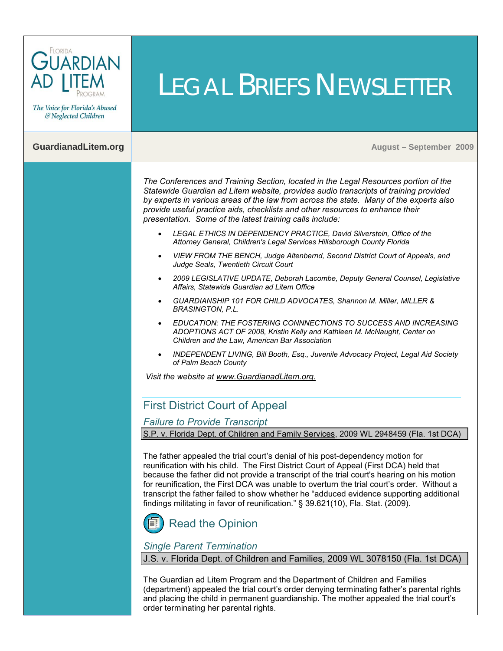

The Voice for Florida's Abused & Neglected Children

**GuardianadLitem.org Music Equation (September 2009)** August – September 2009

*The [Conferences and Training Section,](http://guardianadlitem.org/att_conf_train.asp) located in the Legal Resources portion of the Statewide Guardian ad Litem website, provides audio transcripts of training provided by experts in various areas of the law from across the state. Many of the experts also provide useful practice aids, checklists and other resources to enhance their presentation. Some of the latest training calls include:* 

LEGAL BRIEFS NEWSLETTER

- *LEGAL ETHICS IN DEPENDENCY PRACTICE, David Silverstein, Office of the Attorney General, Children's Legal Services Hillsborough County Florida*
- *VIEW FROM THE BENCH, Judge Altenbernd, Second District Court of Appeals, and Judge Seals, Twentieth Circuit Court*
- *2009 LEGISLATIVE UPDATE, Deborah Lacombe, Deputy General Counsel, Legislative Affairs, Statewide Guardian ad Litem Office*
- *GUARDIANSHIP 101 FOR CHILD ADVOCATES, Shannon M. Miller, MILLER & BRASINGTON, P.L.*
- *EDUCATION: THE FOSTERING CONNNECTIONS TO SUCCESS AND INCREASING ADOPTIONS ACT OF 2008, Kristin Kelly and Kathleen M. McNaught, Center on Children and the Law, American Bar Association*
- *INDEPENDENT LIVING, Bill Booth, Esq., Juvenile Advocacy Project, Legal Aid Society of Palm Beach County*

*Visit the website a[t www.GuardianadLitem.org.](www.guardianadlitem.org)*

### First District Court of Appeal

*Failure to Provide Transcript*

S.P. v. Florida Dept. of Children and Family Services, 2009 WL 2948459 (Fla. 1st DCA)

The father appealed the trial court's denial of his post-dependency motion for reunification with his child. The First District Court of Appeal (First DCA) held that because the father did not provide a transcript of the trial court's hearing on his motion for reunification, the First DCA was unable to overturn the trial court's order. Without a transcript the father failed to show whether he "adduced evidence supporting additional findings militating in favor of reunification." § 39.621(10), Fla. Stat. (2009).



# [Read the Opinion](http://opinions.1dca.org/written/opinions2009/09-16-2009/09-1453.pdf)

#### *Single Parent Termination*

J.S. v. Florida Dept. of Children and Families, 2009 WL 3078150 (Fla. 1st DCA)

The Guardian ad Litem Program and the Department of Children and Families (department) appealed the trial court's order denying terminating father's parental rights and placing the child in permanent guardianship. The mother appealed the trial court's order terminating her parental rights.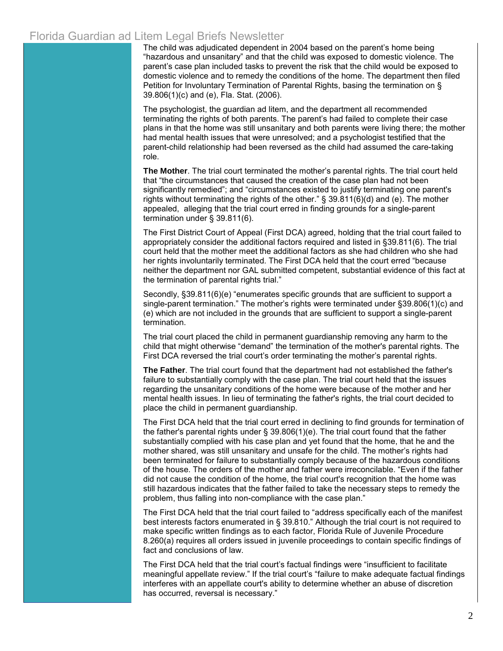### Florida Guardian ad Litem Legal Briefs Newsletter

The child was adjudicated dependent in 2004 based on the parent's home being "hazardous and unsanitary" and that the child was exposed to domestic violence. The parent's case plan included tasks to prevent the risk that the child would be exposed to domestic violence and to remedy the conditions of the home. The department then filed Petition for Involuntary Termination of Parental Rights, basing the termination on § 39.806(1)(c) and (e), Fla. Stat. (2006).

The psychologist, the guardian ad litem, and the department all recommended terminating the rights of both parents. The parent's had failed to complete their case plans in that the home was still unsanitary and both parents were living there; the mother had mental health issues that were unresolved; and a psychologist testified that the parent-child relationship had been reversed as the child had assumed the care-taking role.

**The Mother**. The trial court terminated the mother's parental rights. The trial court held that "the circumstances that caused the creation of the case plan had not been significantly remedied"; and "circumstances existed to justify terminating one parent's rights without terminating the rights of the other." § 39.811(6)(d) and (e). The mother appealed, alleging that the trial court erred in finding grounds for a single-parent termination under § 39.811(6).

The First District Court of Appeal (First DCA) agreed, holding that the trial court failed to appropriately consider the additional factors required and listed in §39.811(6). The trial court held that the mother meet the additional factors as she had children who she had her rights involuntarily terminated. The First DCA held that the court erred "because neither the department nor GAL submitted competent, substantial evidence of this fact at the termination of parental rights trial."

Secondly, §39.811(6)(e) "enumerates specific grounds that are sufficient to support a single-parent termination." The mother's rights were terminated under §39.806(1)(c) and (e) which are not included in the grounds that are sufficient to support a single-parent termination.

The trial court placed the child in permanent guardianship removing any harm to the child that might otherwise "demand" the termination of the mother's parental rights. The First DCA reversed the trial court's order terminating the mother's parental rights.

**The Father**. The trial court found that the department had not established the father's failure to substantially comply with the case plan. The trial court held that the issues regarding the unsanitary conditions of the home were because of the mother and her mental health issues. In lieu of terminating the father's rights, the trial court decided to place the child in permanent guardianship.

The First DCA held that the trial court erred in declining to find grounds for termination of the father's parental rights under  $\S$  39.806(1)(e). The trial court found that the father substantially complied with his case plan and yet found that the home, that he and the mother shared, was still unsanitary and unsafe for the child. The mother's rights had been terminated for failure to substantially comply because of the hazardous conditions of the house. The orders of the mother and father were irreconcilable. "Even if the father did not cause the condition of the home, the trial court's recognition that the home was still hazardous indicates that the father failed to take the necessary steps to remedy the problem, thus falling into non-compliance with the case plan."

The First DCA held that the trial court failed to "address specifically each of the manifest best interests factors enumerated in § 39.810." Although the trial court is not required to make specific written findings as to each factor, Florida Rule of Juvenile Procedure 8.260(a) requires all orders issued in juvenile proceedings to contain specific findings of fact and conclusions of law.

The First DCA held that the trial court's factual findings were "insufficient to facilitate meaningful appellate review." If the trial court's "failure to make adequate factual findings interferes with an appellate court's ability to determine whether an abuse of discretion has occurred, reversal is necessary."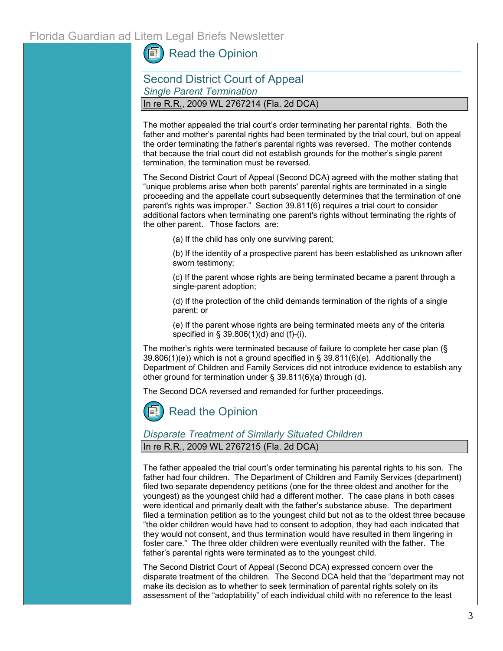[Read the Opinion](http://opinions.1dca.org/written/opinions2009/09-29-2009/09-1046.pdf)

Second District Court of Appeal *Single Parent Termination* In re R.R., 2009 WL 2767214 (Fla. 2d DCA)

The mother appealed the trial court's order terminating her parental rights. Both the father and mother's parental rights had been terminated by the trial court, but on appeal the order terminating the father's parental rights was reversed. The mother contends that because the trial court did not establish grounds for the mother's single parent termination, the termination must be reversed.

The Second District Court of Appeal (Second DCA) agreed with the mother stating that "unique problems arise when both parents' parental rights are terminated in a single proceeding and the appellate court subsequently determines that the termination of one parent's rights was improper." Section 39.811(6) requires a trial court to consider additional factors when terminating one parent's rights without terminating the rights of the other parent. Those factors are:

(a) If the child has only one surviving parent;

(b) If the identity of a prospective parent has been established as unknown after sworn testimony;

(c) If the parent whose rights are being terminated became a parent through a single-parent adoption;

(d) If the protection of the child demands termination of the rights of a single parent; or

(e) If the parent whose rights are being terminated meets any of the criteria specified in § 39.806(1)(d) and (f)-(i).

The mother's rights were terminated because of failure to complete her case plan (§ 39.806(1)(e)) which is not a ground specified in § 39.811(6)(e). Additionally the Department of Children and Family Services did not introduce evidence to establish any other ground for termination under § 39.811(6)(a) through (d).

The Second DCA reversed and remanded for further proceedings.

[Read the Opinion](http://www.2dca.org/opinions/Opinion_Pages/Opinion_Page_2009/August/August%2002,%202009/2D08-4467.pdf)

#### *Disparate Treatment of Similarly Situated Children* In re R.R., 2009 WL 2767215 (Fla. 2d DCA)

The father appealed the trial court's order terminating his parental rights to his son. The father had four children. The Department of Children and Family Services (department) filed two separate dependency petitions (one for the three oldest and another for the youngest) as the youngest child had a different mother. The case plans in both cases were identical and primarily dealt with the father's substance abuse. The department filed a termination petition as to the youngest child but not as to the oldest three because "the older children would have had to consent to adoption, they had each indicated that they would not consent, and thus termination would have resulted in them lingering in foster care." The three older children were eventually reunited with the father. The father's parental rights were terminated as to the youngest child.

The Second District Court of Appeal (Second DCA) expressed concern over the disparate treatment of the children. The Second DCA held that the "department may not make its decision as to whether to seek termination of parental rights solely on its assessment of the "adoptability" of each individual child with no reference to the least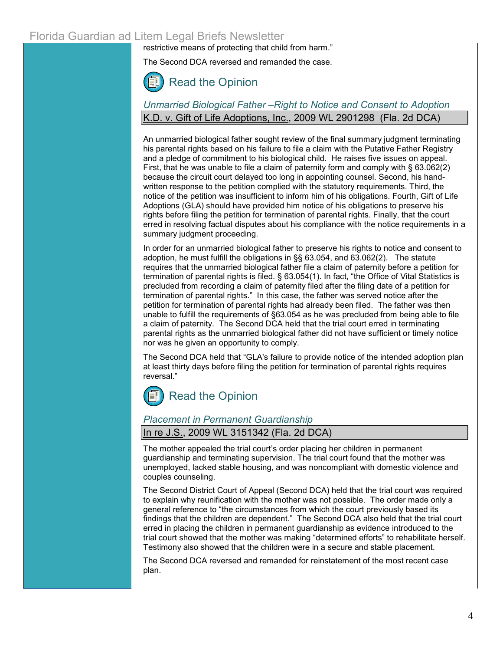### Florida Guardian ad Litem Legal Briefs Newsletter

restrictive means of protecting that child from harm."

The Second DCA reversed and remanded the case.



### *Unmarried Biological Father –Right to Notice and Consent to Adoption* K.D. v. Gift of Life Adoptions, [Inc.](http://web2.westlaw.com/find/default.wl?rs=WLW9.09&ifm=NotSet&fn=_top&sv=Split&findtype=l&docname=CIK(LE00082829+LE10142166+LE00199051)&db=CO-LPAGE&vr=2.0&rp=%2ffind%2fdefault.wl&mt=FamilyLawPrac), 2009 WL 2901298 (Fla. 2d DCA)

An unmarried biological father sought review of the final summary judgment terminating his parental rights based on his failure to file a claim with the Putative Father Registry and a pledge of commitment to his biological child. He raises five issues on appeal. First, that he was unable to file a claim of paternity form and comply with § 63.062(2) because the circuit court delayed too long in appointing counsel. Second, his handwritten response to the petition complied with the statutory requirements. Third, the notice of the petition was insufficient to inform him of his obligations. Fourth, Gift of Life Adoptions (GLA) should have provided him notice of his obligations to preserve his rights before filing the petition for termination of parental rights. Finally, that the court erred in resolving factual disputes about his compliance with the notice requirements in a summary judgment proceeding.

In order for an unmarried biological father to preserve his rights to notice and consent to adoption, he must fulfill the obligations in §§ 63.054, and 63.062(2). The statute requires that the unmarried biological father file a claim of paternity before a petition for termination of parental rights is filed. § 63.054(1). In fact, "the Office of Vital Statistics is precluded from recording a claim of paternity filed after the filing date of a petition for termination of parental rights." In this case, the father was served notice after the petition for termination of parental rights had already been filed. The father was then unable to fulfill the requirements of §63.054 as he was precluded from being able to file a claim of paternity. The Second DCA held that the trial court erred in terminating parental rights as the unmarried biological father did not have sufficient or timely notice nor was he given an opportunity to comply.

The Second DCA held that "GLA's failure to provide notice of the intended adoption plan at least thirty days before filing the petition for termination of parental rights requires reversal."

# [Read the Opinion](http://www.2dca.org/opinions/Opinion_Pages/Opinion_Page_2009/September/September%2011,%202009/2D08-6403co.pdf)

#### *Placement in Permanent Guardianship*

#### In re J.S., 2009 WL 3151342 (Fla. 2d DCA)

The mother appealed the trial court's order placing her children in permanent guardianship and terminating supervision. The trial court found that the mother was unemployed, lacked stable housing, and was noncompliant with domestic violence and couples counseling.

The Second District Court of Appeal (Second DCA) held that the trial court was required to explain why reunification with the mother was not possible. The order made only a general reference to "the circumstances from which the court previously based its findings that the children are dependent." The Second DCA also held that the trial court erred in placing the children in permanent guardianship as evidence introduced to the trial court showed that the mother was making "determined efforts" to rehabilitate herself. Testimony also showed that the children were in a secure and stable placement.

The Second DCA reversed and remanded for reinstatement of the most recent case plan.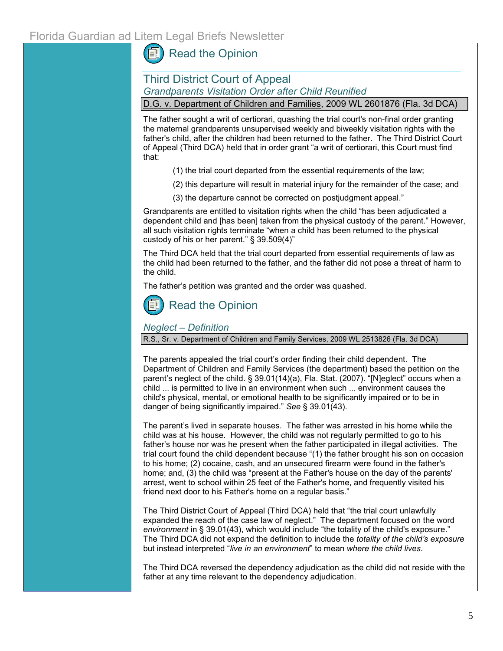## [Read the Opinion](http://www.2dca.org/opinions/Opinion_Pages/Opinion_Page_2009/October/October%2002,%202009/2D09-404.pdf)

### Third District Court of Appeal *Grandparents Visitation Order after Child Reunified*

D.G. v. Department of Children and Families, 2009 WL 2601876 (Fla. 3d DCA)

The father sought a writ of certiorari, quashing the trial court's non-final order granting the maternal grandparents unsupervised weekly and biweekly visitation rights with the father's child, after the children had been returned to the father. The Third District Court of Appeal (Third DCA) held that in order grant "a writ of certiorari, this Court must find that:

- (1) the trial court departed from the essential requirements of the law;
- (2) this departure will result in material injury for the remainder of the case; and
- (3) the departure cannot be corrected on postjudgment appeal."

Grandparents are entitled to visitation rights when the child "has been adjudicated a dependent child and [has been] taken from the physical custody of the parent." However, all such visitation rights terminate "when a child has been returned to the physical custody of his or her parent." § 39.509(4)"

The Third DCA held that the trial court departed from essential requirements of law as the child had been returned to the father, and the father did not pose a threat of harm to the child.

The father's petition was granted and the order was quashed.

# [Read the Opinion](http://www.3dca.flcourts.org/Opinions/3D09-1730.pdf)

#### *Neglect – Definition*

R.S., Sr. v. Department of Children and Family Services, 2009 WL 2513826 (Fla. 3d DCA)

The parents appealed the trial court's order finding their child dependent. The Department of Children and Family Services (the department) based the petition on the parent's neglect of the child. § 39.01(14)(a), Fla. Stat. (2007). "[N]eglect" occurs when a child ... is permitted to live in an environment when such ... environment causes the child's physical, mental, or emotional health to be significantly impaired or to be in danger of being significantly impaired." *See* § 39.01(43).

The parent's lived in separate houses. The father was arrested in his home while the child was at his house. However, the child was not regularly permitted to go to his father's house nor was he present when the father participated in illegal activities. The trial court found the child dependent because "(1) the father brought his son on occasion to his home; (2) cocaine, cash, and an unsecured firearm were found in the father's home; and, (3) the child was "present at the Father's house on the day of the parents' arrest, went to school within 25 feet of the Father's home, and frequently visited his friend next door to his Father's home on a regular basis."

The Third District Court of Appeal (Third DCA) held that "the trial court unlawfully expanded the reach of the case law of neglect." The department focused on the word *environment* in § 39.01(43), which would include "the totality of the child's exposure." The Third DCA did not expand the definition to include the *totality of the child's exposure* but instead interpreted "*live in an environment*" to mean *where the child lives*.

The Third DCA reversed the dependency adjudication as the child did not reside with the father at any time relevant to the dependency adjudication.